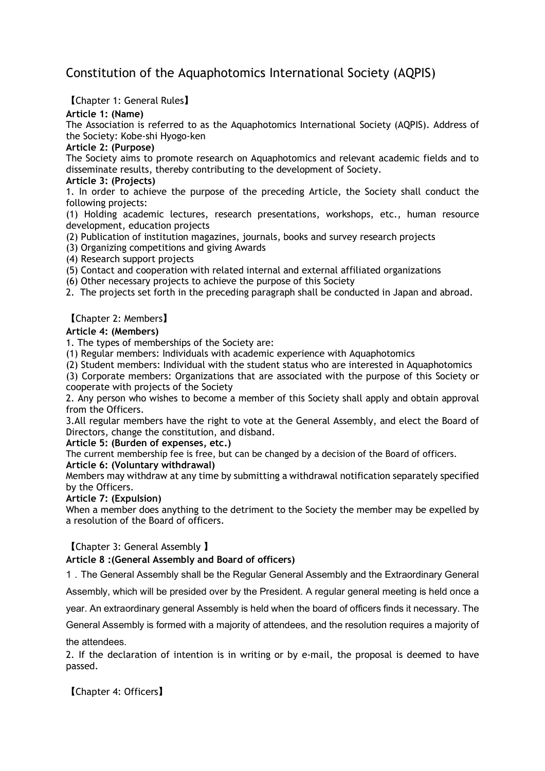# Constitution of the Aquaphotomics International Society (AQPIS)

【Chapter 1: General Rules】

# **Article 1: (Name)**

The Association is referred to as the Aquaphotomics International Society (AQPIS). Address of the Society: Kobe-shi Hyogo-ken

# **Article 2: (Purpose)**

The Society aims to promote research on Aquaphotomics and relevant academic fields and to disseminate results, thereby contributing to the development of Society.

### **Article 3: (Projects)**

1. In order to achieve the purpose of the preceding Article, the Society shall conduct the following projects:

(1) Holding academic lectures, research presentations, workshops, etc., human resource development, education projects

- (2) Publication of institution magazines, journals, books and survey research projects
- (3) Organizing competitions and giving Awards
- (4) Research support projects
- (5) Contact and cooperation with related internal and external affiliated organizations
- (6) Other necessary projects to achieve the purpose of this Society

2. The projects set forth in the preceding paragraph shall be conducted in Japan and abroad.

# 【Chapter 2: Members】

# **Article 4: (Members)**

1. The types of memberships of the Society are:

(1) Regular members: Individuals with academic experience with Aquaphotomics

(2) Student members: Individual with the student status who are interested in Aquaphotomics

(3) Corporate members: Organizations that are associated with the purpose of this Society or cooperate with projects of the Society

2. Any person who wishes to become a member of this Society shall apply and obtain approval from the Officers.

3.All regular members have the right to vote at the General Assembly, and elect the Board of Directors, change the constitution, and disband.

# **Article 5: (Burden of expenses, etc.)**

The current membership fee is free, but can be changed by a decision of the Board of officers.

# **Article 6: (Voluntary withdrawal)**

Members may withdraw at any time by submitting a withdrawal notification separately specified by the Officers.

# **Article 7: (Expulsion)**

When a member does anything to the detriment to the Society the member may be expelled by a resolution of the Board of officers.

# 【Chapter 3: General Assembly 】

# **Article 8 :(General Assembly and Board of officers)**

1.The General Assembly shall be the Regular General Assembly and the Extraordinary General

Assembly, which will be presided over by the President. A regular general meeting is held once a

year. An extraordinary general Assembly is held when the board of officers finds it necessary. The

General Assembly is formed with a majority of attendees, and the resolution requires a majority of

the attendees.

2. If the declaration of intention is in writing or by e-mail, the proposal is deemed to have passed.

【Chapter 4: Officers】